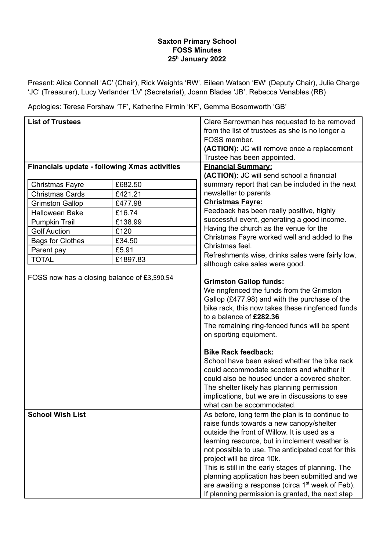## **Saxton Primary School FOSS Minutes 25 <sup>h</sup> January 2022**

Present: Alice Connell 'AC' (Chair), Rick Weights 'RW', Eileen Watson 'EW' (Deputy Chair), Julie Charge 'JC' (Treasurer), Lucy Verlander 'LV' (Secretariat), Joann Blades 'JB', Rebecca Venables (RB)

Apologies: Teresa Forshaw 'TF', Katherine Firmin 'KF', Gemma Bosomworth 'GB'

| <b>List of Trustees</b>                              |          | Clare Barrowman has requested to be removed                                                                                                                                                                                                                                                                                                                                                                                                                                                                                                                   |
|------------------------------------------------------|----------|---------------------------------------------------------------------------------------------------------------------------------------------------------------------------------------------------------------------------------------------------------------------------------------------------------------------------------------------------------------------------------------------------------------------------------------------------------------------------------------------------------------------------------------------------------------|
|                                                      |          | from the list of trustees as she is no longer a                                                                                                                                                                                                                                                                                                                                                                                                                                                                                                               |
|                                                      |          | FOSS member.                                                                                                                                                                                                                                                                                                                                                                                                                                                                                                                                                  |
|                                                      |          | (ACTION): JC will remove once a replacement<br>Trustee has been appointed.                                                                                                                                                                                                                                                                                                                                                                                                                                                                                    |
| <b>Financials update - following Xmas activities</b> |          | <b>Financial Summary:</b>                                                                                                                                                                                                                                                                                                                                                                                                                                                                                                                                     |
|                                                      |          | (ACTION): JC will send school a financial                                                                                                                                                                                                                                                                                                                                                                                                                                                                                                                     |
| <b>Christmas Fayre</b>                               | £682.50  | summary report that can be included in the next                                                                                                                                                                                                                                                                                                                                                                                                                                                                                                               |
| <b>Christmas Cards</b>                               | £421.21  | newsletter to parents                                                                                                                                                                                                                                                                                                                                                                                                                                                                                                                                         |
| <b>Grimston Gallop</b>                               | £477.98  | <b>Christmas Fayre:</b>                                                                                                                                                                                                                                                                                                                                                                                                                                                                                                                                       |
| <b>Halloween Bake</b>                                | £16.74   | Feedback has been really positive, highly                                                                                                                                                                                                                                                                                                                                                                                                                                                                                                                     |
| Pumpkin Trail                                        | £138.99  | successful event, generating a good income.                                                                                                                                                                                                                                                                                                                                                                                                                                                                                                                   |
| <b>Golf Auction</b>                                  | £120     | Having the church as the venue for the                                                                                                                                                                                                                                                                                                                                                                                                                                                                                                                        |
| <b>Bags for Clothes</b>                              | £34.50   | Christmas Fayre worked well and added to the                                                                                                                                                                                                                                                                                                                                                                                                                                                                                                                  |
| Parent pay                                           | £5.91    | Christmas feel.                                                                                                                                                                                                                                                                                                                                                                                                                                                                                                                                               |
| <b>TOTAL</b>                                         | £1897.83 | Refreshments wise, drinks sales were fairly low,<br>although cake sales were good.                                                                                                                                                                                                                                                                                                                                                                                                                                                                            |
|                                                      |          | We ringfenced the funds from the Grimston<br>Gallop (£477.98) and with the purchase of the<br>bike rack, this now takes these ringfenced funds<br>to a balance of £282.36<br>The remaining ring-fenced funds will be spent<br>on sporting equipment.<br><b>Bike Rack feedback:</b><br>School have been asked whether the bike rack<br>could accommodate scooters and whether it<br>could also be housed under a covered shelter.<br>The shelter likely has planning permission<br>implications, but we are in discussions to see<br>what can be accommodated. |
| <b>School Wish List</b>                              |          | As before, long term the plan is to continue to<br>raise funds towards a new canopy/shelter<br>outside the front of Willow. It is used as a<br>learning resource, but in inclement weather is<br>not possible to use. The anticipated cost for this<br>project will be circa 10k.<br>This is still in the early stages of planning. The<br>planning application has been submitted and we<br>are awaiting a response (circa 1 <sup>st</sup> week of Feb).<br>If planning permission is granted, the next step                                                 |